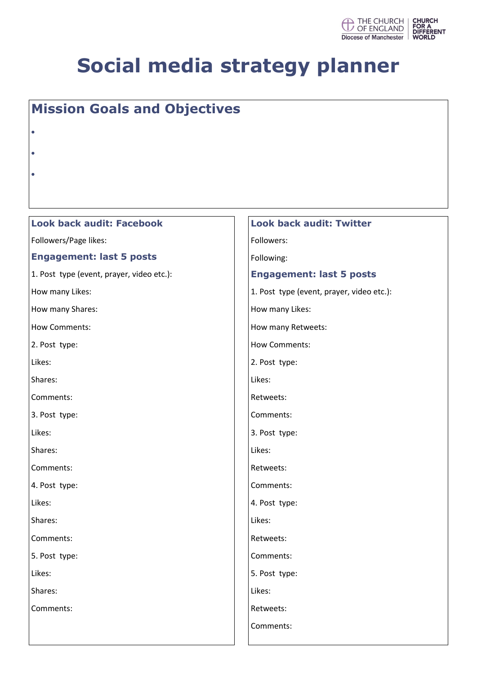

### **Mission Goals and Objectives**

- $\bullet$
- $\bullet$
- $\bullet$

#### **Look back audit: Facebook**

Followers/Page likes:

#### **Engagement: last 5 posts**

1. Post type (event, prayer, video etc.):

How many Likes:

How many Shares:

How Comments:

2. Post type:

Likes:

Shares:

Comments:

3. Post type:

Likes:

Shares:

Comments:

4. Post type:

Likes:

Shares:

Comments:

5. Post type:

Likes:

Shares:

Comments:

#### **Look back audit: Twitter** Followers:

Following:

#### **Engagement: last 5 posts**

1. Post type (event, prayer, video etc.):

How many Likes:

How many Retweets:

How Comments:

2. Post type:

Likes:

Retweets:

Comments:

3. Post type:

Likes:

Retweets:

Comments:

4. Post type:

Likes:

Retweets:

Comments:

5. Post type:

Likes:

Retweets:

Comments: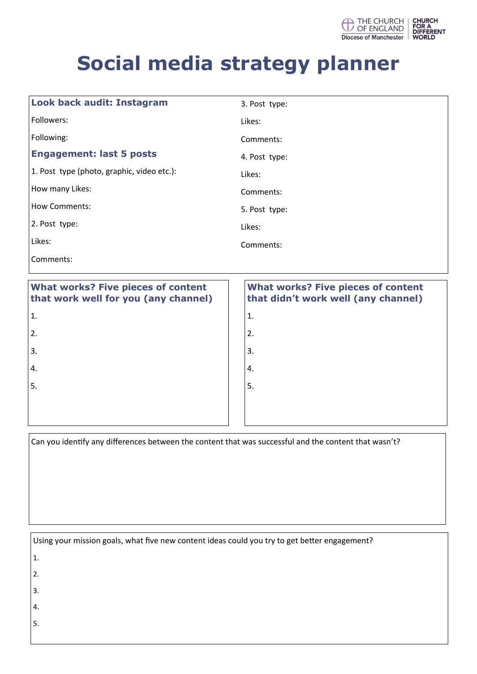

| <b>What works? Five pieces of content</b><br>that work well for you (any channel) | <b>What works? Five pieces of content</b><br>that didn't work well (any channel) |
|-----------------------------------------------------------------------------------|----------------------------------------------------------------------------------|
| Comments:                                                                         |                                                                                  |
| Likes:                                                                            | Comments:                                                                        |
| 2. Post type:                                                                     | Likes:                                                                           |
| <b>How Comments:</b>                                                              | 5. Post type:                                                                    |
| How many Likes:                                                                   | Comments:                                                                        |
| 1. Post type (photo, graphic, video etc.):                                        | Likes:                                                                           |
| <b>Engagement: last 5 posts</b>                                                   | 4. Post type:                                                                    |
| Following:                                                                        | Comments:                                                                        |
| Followers:                                                                        | Likes:                                                                           |
| Look back audit: Instagram                                                        | 3. Post type:                                                                    |

| that work well for you (any channel) | th                 |
|--------------------------------------|--------------------|
| $\mathbf{1}$ .                       | 1.                 |
| 2.                                   | 2.                 |
| 3.                                   | 3.                 |
| 4.                                   | 4.                 |
| 5.                                   | $^{\mathsf{I}}$ 5. |
|                                      |                    |
|                                      |                    |

### **that didn't work well (any channel)**

Can you identify any differences between the content that was successful and the content that wasn't?

| Using your mission goals, what five new content ideas could you try to get better engagement? |  |
|-----------------------------------------------------------------------------------------------|--|
|-----------------------------------------------------------------------------------------------|--|

- 1.
- 2.
- 3.
- 4.
- 5.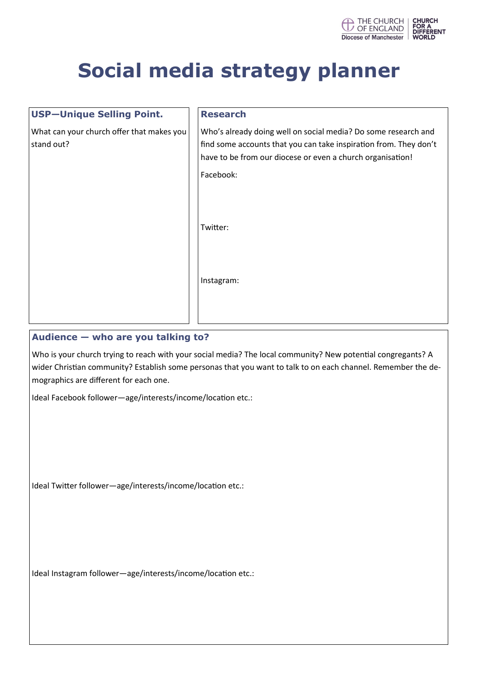

| <b>USP-Unique Selling Point.</b>                        | <b>Research</b>                                                                                                                                                                                                |
|---------------------------------------------------------|----------------------------------------------------------------------------------------------------------------------------------------------------------------------------------------------------------------|
| What can your church offer that makes you<br>stand out? | Who's already doing well on social media? Do some research and<br>find some accounts that you can take inspiration from. They don't<br>have to be from our diocese or even a church organisation!<br>Facebook: |
|                                                         | Twitter:                                                                                                                                                                                                       |
|                                                         | Instagram:                                                                                                                                                                                                     |

#### **Audience — who are you talking to?**

Who is your church trying to reach with your social media? The local community? New potential congregants? A wider Christian community? Establish some personas that you want to talk to on each channel. Remember the demographics are different for each one.

Ideal Facebook follower—age/interests/income/location etc.:

Ideal Twitter follower—age/interests/income/location etc.:

Ideal Instagram follower—age/interests/income/location etc.: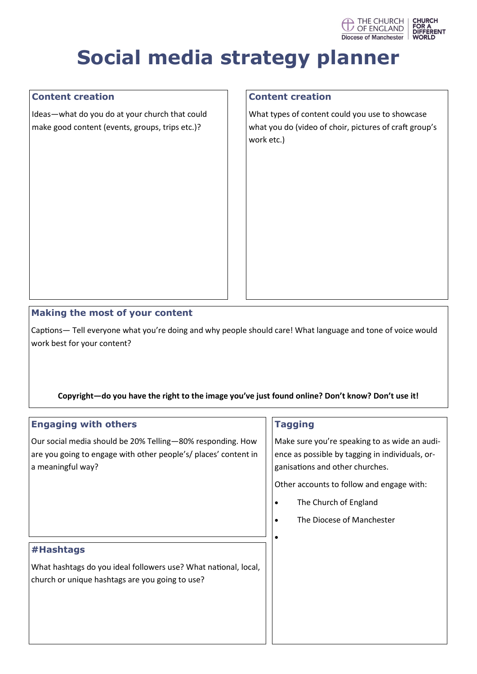

#### **Content creation**

Ideas—what do you do at your church that could make good content (events, groups, trips etc.)?

#### **Content creation**

What types of content could you use to showcase what you do (video of choir, pictures of craft group's work etc.)

#### **Making the most of your content**

Captions— Tell everyone what you're doing and why people should care! What language and tone of voice would work best for your content?

#### **Copyright—do you have the right to the image you've just found online? Don't know? Don't use it!**

| <b>Engaging with others</b>                                                                                                                        | <b>Tagging</b>                                                                                                                                                                                                                                   |
|----------------------------------------------------------------------------------------------------------------------------------------------------|--------------------------------------------------------------------------------------------------------------------------------------------------------------------------------------------------------------------------------------------------|
| Our social media should be 20% Telling-80% responding. How<br>are you going to engage with other people's/ places' content in<br>a meaningful way? | Make sure you're speaking to as wide an audi-<br>ence as possible by tagging in individuals, or-<br>ganisations and other churches.<br>Other accounts to follow and engage with:<br>The Church of England<br>٠<br>The Diocese of Manchester<br>٠ |
| #Hashtags<br>What hashtags do you ideal followers use? What national, local,<br>church or unique hashtags are you going to use?                    |                                                                                                                                                                                                                                                  |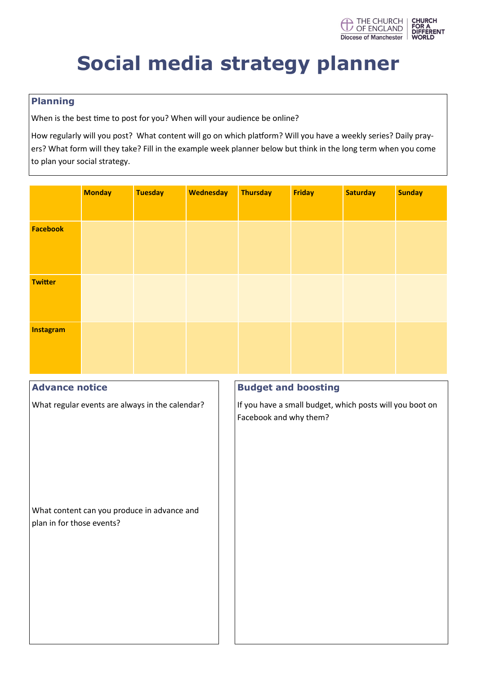

#### **Planning**

When is the best time to post for you? When will your audience be online?

How regularly will you post? What content will go on which platform? Will you have a weekly series? Daily prayers? What form will they take? Fill in the example week planner below but think in the long term when you come to plan your social strategy.

|                           | <b>Monday</b>                                   | <b>Tuesday</b> | <b>Wednesday</b> | <b>Thursday</b>                                                                    | Friday | <b>Saturday</b> | <b>Sunday</b> |  |
|---------------------------|-------------------------------------------------|----------------|------------------|------------------------------------------------------------------------------------|--------|-----------------|---------------|--|
|                           |                                                 |                |                  |                                                                                    |        |                 |               |  |
| <b>Facebook</b>           |                                                 |                |                  |                                                                                    |        |                 |               |  |
|                           |                                                 |                |                  |                                                                                    |        |                 |               |  |
|                           |                                                 |                |                  |                                                                                    |        |                 |               |  |
| <b>Twitter</b>            |                                                 |                |                  |                                                                                    |        |                 |               |  |
|                           |                                                 |                |                  |                                                                                    |        |                 |               |  |
|                           |                                                 |                |                  |                                                                                    |        |                 |               |  |
| <b>Instagram</b>          |                                                 |                |                  |                                                                                    |        |                 |               |  |
|                           |                                                 |                |                  |                                                                                    |        |                 |               |  |
|                           |                                                 |                |                  |                                                                                    |        |                 |               |  |
| <b>Advance notice</b>     |                                                 |                |                  | <b>Budget and boosting</b>                                                         |        |                 |               |  |
|                           |                                                 |                |                  |                                                                                    |        |                 |               |  |
|                           | What regular events are always in the calendar? |                |                  | If you have a small budget, which posts will you boot on<br>Facebook and why them? |        |                 |               |  |
|                           |                                                 |                |                  |                                                                                    |        |                 |               |  |
|                           |                                                 |                |                  |                                                                                    |        |                 |               |  |
|                           |                                                 |                |                  |                                                                                    |        |                 |               |  |
|                           |                                                 |                |                  |                                                                                    |        |                 |               |  |
|                           |                                                 |                |                  |                                                                                    |        |                 |               |  |
|                           | What content can you produce in advance and     |                |                  |                                                                                    |        |                 |               |  |
| plan in for those events? |                                                 |                |                  |                                                                                    |        |                 |               |  |
|                           |                                                 |                |                  |                                                                                    |        |                 |               |  |
|                           |                                                 |                |                  |                                                                                    |        |                 |               |  |
|                           |                                                 |                |                  |                                                                                    |        |                 |               |  |
|                           |                                                 |                |                  |                                                                                    |        |                 |               |  |
|                           |                                                 |                |                  |                                                                                    |        |                 |               |  |
|                           |                                                 |                |                  |                                                                                    |        |                 |               |  |
|                           |                                                 |                |                  |                                                                                    |        |                 |               |  |